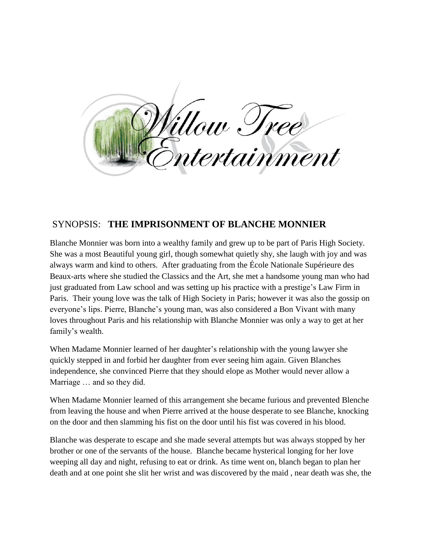'illow Tree<br>ntertainment

## SYNOPSIS: **THE IMPRISONMENT OF BLANCHE MONNIER**

Blanche Monnier was born into a wealthy family and grew up to be part of Paris High Society. She was a most Beautiful young girl, though somewhat quietly shy, she laugh with joy and was always warm and kind to others. After graduating from the École Nationale Supérieure des Beaux-arts where she studied the Classics and the Art, she met a handsome young man who had just graduated from Law school and was setting up his practice with a prestige's Law Firm in Paris. Their young love was the talk of High Society in Paris; however it was also the gossip on everyone's lips. Pierre, Blanche's young man, was also considered a Bon Vivant with many loves throughout Paris and his relationship with Blanche Monnier was only a way to get at her family's wealth.

When Madame Monnier learned of her daughter's relationship with the young lawyer she quickly stepped in and forbid her daughter from ever seeing him again. Given Blanches independence, she convinced Pierre that they should elope as Mother would never allow a Marriage … and so they did.

When Madame Monnier learned of this arrangement she became furious and prevented Blenche from leaving the house and when Pierre arrived at the house desperate to see Blanche, knocking on the door and then slamming his fist on the door until his fist was covered in his blood.

Blanche was desperate to escape and she made several attempts but was always stopped by her brother or one of the servants of the house. Blanche became hysterical longing for her love weeping all day and night, refusing to eat or drink. As time went on, blanch began to plan her death and at one point she slit her wrist and was discovered by the maid , near death was she, the